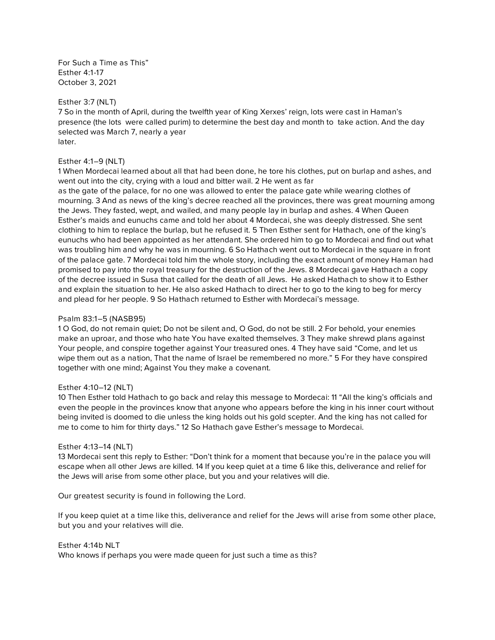*For Such a Time as This" Esther 4:1-17 October 3, 2021*

## *Esther 3:7 (NLT)*

*7 So in the month of April, during the twelfth year of King Xerxes' reign, lots were cast in Haman's presence (the lots were called purim) to determine the best day and month to take action. And the day selected was March 7, nearly a year later.*

## *Esther 4:1–9 (NLT)*

*1 When Mordecai learned about all that had been done, he tore his clothes, put on burlap and ashes, and went out into the city, crying with a loud and bitter wail. 2 He went as far* 

*as the gate of the palace, for no one was allowed to enter the palace gate while wearing clothes of mourning. 3 And as news of the king's decree reached all the provinces, there was great mourning among the Jews. They fasted, wept, and wailed, and many people lay in burlap and ashes. 4 When Queen Esther's maids and eunuchs came and told her about 4 Mordecai, she was deeply distressed. She sent clothing to him to replace the burlap, but he refused it. 5 Then Esther sent for Hathach, one of the king's eunuchs who had been appointed as her attendant. She ordered him to go to Mordecai and find out what was troubling him and why he was in mourning. 6 So Hathach went out to Mordecai in the square in front of the palace gate. 7 Mordecai told him the whole story, including the exact amount of money Haman had promised to pay into the royal treasury for the destruction of the Jews. 8 Mordecai gave Hathach a copy of the decree issued in Susa that called for the death of all Jews. He asked Hathach to show it to Esther and explain the situation to her. He also asked Hathach to direct her to go to the king to beg for mercy and plead for her people. 9 So Hathach returned to Esther with Mordecai's message.*

#### *Psalm 83:1–5 (NASB95)*

*1 O God, do not remain quiet; Do not be silent and, O God, do not be still. 2 For behold, your enemies make an uproar, and those who hate You have exalted themselves. 3 They make shrewd plans against Your people, and conspire together against Your treasured ones. 4 They have said "Come, and let us wipe them out as a nation, That the name of Israel be remembered no more." 5 For they have conspired together with one mind; Against You they make a covenant.*

#### *Esther 4:10–12 (NLT)*

*10 Then Esther told Hathach to go back and relay this message to Mordecai: 11 "All the king's officials and even the people in the provinces know that anyone who appears before the king in his inner court without being invited is doomed to die unless the king holds out his gold scepter. And the king has not called for me to come to him for thirty days." 12 So Hathach gave Esther's message to Mordecai.*

#### *Esther 4:13–14 (NLT)*

*13 Mordecai sent this reply to Esther: "Don't think for a moment that because you're in the palace you will escape when all other Jews are killed. 14 If you keep quiet at a time 6 like this, deliverance and relief for the Jews will arise from some other place, but you and your relatives will die.*

*Our greatest security is found in following the Lord.*

*If you keep quiet at a time like this, deliverance and relief for the Jews will arise from some other place, but you and your relatives will die.*

#### *Esther 4:14b NLT*

*Who knows if perhaps you were made queen for just such a time as this?*